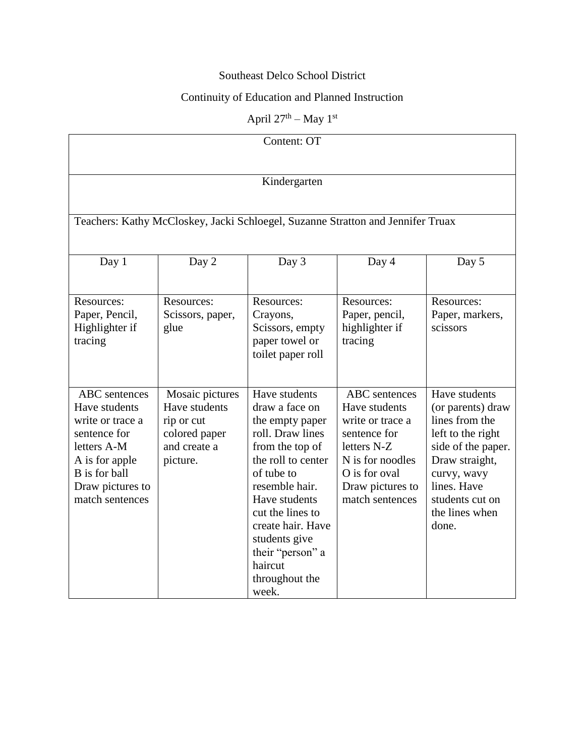## Southeast Delco School District

# Continuity of Education and Planned Instruction

April  $27^{\text{th}}$  – May  $1^{\text{st}}$ 

| Content: OT                                                                                                                                                        |                                                                                             |                                                                                                                                                                                                                                                                                      |                                                                                                                                                                      |                                                                                                                                                                                               |  |  |  |  |
|--------------------------------------------------------------------------------------------------------------------------------------------------------------------|---------------------------------------------------------------------------------------------|--------------------------------------------------------------------------------------------------------------------------------------------------------------------------------------------------------------------------------------------------------------------------------------|----------------------------------------------------------------------------------------------------------------------------------------------------------------------|-----------------------------------------------------------------------------------------------------------------------------------------------------------------------------------------------|--|--|--|--|
| Kindergarten<br>Teachers: Kathy McCloskey, Jacki Schloegel, Suzanne Stratton and Jennifer Truax                                                                    |                                                                                             |                                                                                                                                                                                                                                                                                      |                                                                                                                                                                      |                                                                                                                                                                                               |  |  |  |  |
|                                                                                                                                                                    |                                                                                             |                                                                                                                                                                                                                                                                                      |                                                                                                                                                                      |                                                                                                                                                                                               |  |  |  |  |
| Resources:<br>Paper, Pencil,<br>Highlighter if<br>tracing                                                                                                          | Resources:<br>Scissors, paper,<br>glue                                                      | Resources:<br>Crayons,<br>Scissors, empty<br>paper towel or<br>toilet paper roll                                                                                                                                                                                                     | Resources:<br>Paper, pencil,<br>highlighter if<br>tracing                                                                                                            | Resources:<br>Paper, markers,<br>scissors                                                                                                                                                     |  |  |  |  |
| <b>ABC</b> sentences<br>Have students<br>write or trace a<br>sentence for<br>letters A-M<br>A is for apple<br>B is for ball<br>Draw pictures to<br>match sentences | Mosaic pictures<br>Have students<br>rip or cut<br>colored paper<br>and create a<br>picture. | Have students<br>draw a face on<br>the empty paper<br>roll. Draw lines<br>from the top of<br>the roll to center<br>of tube to<br>resemble hair.<br>Have students<br>cut the lines to<br>create hair. Have<br>students give<br>their "person" a<br>haircut<br>throughout the<br>week. | <b>ABC</b> sentences<br>Have students<br>write or trace a<br>sentence for<br>letters N-Z<br>N is for noodles<br>O is for oval<br>Draw pictures to<br>match sentences | Have students<br>(or parents) draw<br>lines from the<br>left to the right<br>side of the paper.<br>Draw straight,<br>curvy, wavy<br>lines. Have<br>students cut on<br>the lines when<br>done. |  |  |  |  |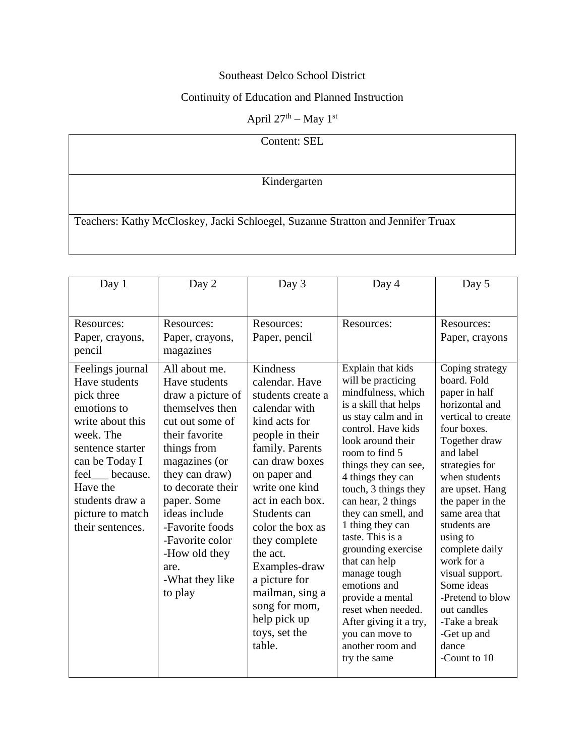## Southeast Delco School District

# Continuity of Education and Planned Instruction

#### April  $27^{\text{th}}$  – May  $1^{\text{st}}$

| Content: SEL                                                                    |  |  |
|---------------------------------------------------------------------------------|--|--|
|                                                                                 |  |  |
| Kindergarten                                                                    |  |  |
|                                                                                 |  |  |
|                                                                                 |  |  |
| Teachers: Kathy McCloskey, Jacki Schloegel, Suzanne Stratton and Jennifer Truax |  |  |
|                                                                                 |  |  |

| Day 1                                                                                                                                                                                                                         | Day 2                                                                                                                                                                                                                                                                                                           | Day 3                                                                                                                                                                                                                                                                                                                                                                             | Day 4                                                                                                                                                                                                                                                                                                                                                                                                                                                                                                                                  | Day 5                                                                                                                                                                                                                                                                                                                                                                                                                     |
|-------------------------------------------------------------------------------------------------------------------------------------------------------------------------------------------------------------------------------|-----------------------------------------------------------------------------------------------------------------------------------------------------------------------------------------------------------------------------------------------------------------------------------------------------------------|-----------------------------------------------------------------------------------------------------------------------------------------------------------------------------------------------------------------------------------------------------------------------------------------------------------------------------------------------------------------------------------|----------------------------------------------------------------------------------------------------------------------------------------------------------------------------------------------------------------------------------------------------------------------------------------------------------------------------------------------------------------------------------------------------------------------------------------------------------------------------------------------------------------------------------------|---------------------------------------------------------------------------------------------------------------------------------------------------------------------------------------------------------------------------------------------------------------------------------------------------------------------------------------------------------------------------------------------------------------------------|
| Resources:<br>Paper, crayons,<br>pencil                                                                                                                                                                                       | Resources:<br>Paper, crayons,<br>magazines                                                                                                                                                                                                                                                                      | Resources:<br>Paper, pencil                                                                                                                                                                                                                                                                                                                                                       | Resources:                                                                                                                                                                                                                                                                                                                                                                                                                                                                                                                             | Resources:<br>Paper, crayons                                                                                                                                                                                                                                                                                                                                                                                              |
| Feelings journal<br>Have students<br>pick three<br>emotions to<br>write about this<br>week. The<br>sentence starter<br>can be Today I<br>feel because.<br>Have the<br>students draw a<br>picture to match<br>their sentences. | All about me.<br>Have students<br>draw a picture of<br>themselves then<br>cut out some of<br>their favorite<br>things from<br>magazines (or<br>they can draw)<br>to decorate their<br>paper. Some<br>ideas include<br>-Favorite foods<br>-Favorite color<br>-How old they<br>are.<br>-What they like<br>to play | Kindness<br>calendar. Have<br>students create a<br>calendar with<br>kind acts for<br>people in their<br>family. Parents<br>can draw boxes<br>on paper and<br>write one kind<br>act in each box.<br>Students can<br>color the box as<br>they complete<br>the act.<br>Examples-draw<br>a picture for<br>mailman, sing a<br>song for mom,<br>help pick up<br>toys, set the<br>table. | Explain that kids<br>will be practicing<br>mindfulness, which<br>is a skill that helps<br>us stay calm and in<br>control. Have kids<br>look around their<br>room to find 5<br>things they can see,<br>4 things they can<br>touch, 3 things they<br>can hear, 2 things<br>they can smell, and<br>1 thing they can<br>taste. This is a<br>grounding exercise<br>that can help<br>manage tough<br>emotions and<br>provide a mental<br>reset when needed.<br>After giving it a try,<br>you can move to<br>another room and<br>try the same | Coping strategy<br>board. Fold<br>paper in half<br>horizontal and<br>vertical to create<br>four boxes.<br>Together draw<br>and label<br>strategies for<br>when students<br>are upset. Hang<br>the paper in the<br>same area that<br>students are<br>using to<br>complete daily<br>work for a<br>visual support.<br>Some ideas<br>-Pretend to blow<br>out candles<br>-Take a break<br>-Get up and<br>dance<br>-Count to 10 |